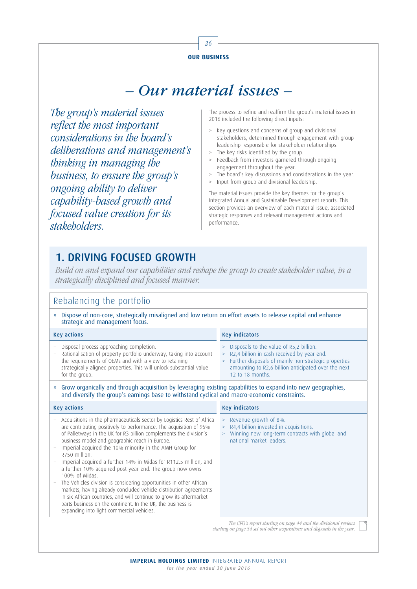

# – Our material issues –

The group's material issues reflect the most important considerations in the board's deliberations and management's thinking in managing the business, to ensure the group's ongoing ability to deliver capability-based growth and focused value creation for its stakeholders.

The process to refine and reaffirm the group's material issues in 2016 included the following direct inputs:

- > Key questions and concerns of group and divisional stakeholders, determined through engagement with group leadership responsible for stakeholder relationships.
- The key risks identified by the group.
- Feedback from investors garnered through ongoing engagement throughout the year.
- The board's key discussions and considerations in the year.
- > Input from group and divisional leadership.

The material issues provide the key themes for the group's Integrated Annual and Sustainable Development reports. This section provides an overview of each material issue, associated strategic responses and relevant management actions and performance.

# 1. DRIVING FOCUSED GROWTH

Build on and expand our capabilities and reshape the group to create stakeholder value, in a strategically disciplined and focused manner.

## Rebalancing the portfolio

» Dispose of non-core, strategically misaligned and low return on effort assets to release capital and enhance strategic and management focus.

− Disposal process approaching completion. Rationalisation of property portfolio underway, taking into account the requirements of OEMs and with a view to retaining strategically aligned properties. This will unlock substantial value for the group.

### Key actions **Key indicators** Key indicators

- > Disposals to the value of R5,2 billion.
- > R2,4 billion in cash received by year end.
- Further disposals of mainly non-strategic properties amounting to R2,6 billion anticipated over the next 12 to 18 months.

» Grow organically and through acquisition by leveraging existing capabilities to expand into new geographies, and diversify the group's earnings base to withstand cyclical and macro-economic constraints.

| <b>Key actions</b>                                                                                                                                                                                                                                                                                                                                                                                                                                                                                                                                                                                                                                                                                                                                                                                                               | <b>Key indicators</b>                                                                                                                                            |  |
|----------------------------------------------------------------------------------------------------------------------------------------------------------------------------------------------------------------------------------------------------------------------------------------------------------------------------------------------------------------------------------------------------------------------------------------------------------------------------------------------------------------------------------------------------------------------------------------------------------------------------------------------------------------------------------------------------------------------------------------------------------------------------------------------------------------------------------|------------------------------------------------------------------------------------------------------------------------------------------------------------------|--|
| Acquisitions in the pharmaceuticals sector by Logistics Rest of Africa<br>are contributing positively to performance. The acquisition of 95%<br>of Palletways in the UK for R3 billion complements the division's<br>business model and geographic reach in Europe.<br>Imperial acquired the 10% minority in the AMH Group for<br>R750 million.<br>Imperial acquired a further 14% in Midas for R112,5 million, and<br>a further 10% acquired post year end. The group now owns<br>100% of Midas.<br>The Vehicles division is considering opportunities in other African<br>markets, having already concluded vehicle distribution agreements<br>in six African countries, and will continue to grow its aftermarket<br>parts business on the continent. In the UK, the business is<br>expanding into light commercial vehicles. | Revenue growth of 8%.<br>$\, >$<br>> R4,4 billion invested in acquisitions.<br>Winning new long-term contracts with global and<br>×.<br>national market leaders. |  |
|                                                                                                                                                                                                                                                                                                                                                                                                                                                                                                                                                                                                                                                                                                                                                                                                                                  | The CFO's report starting on page 44 and the divisional reviews<br>starting on page 54 set out other acquisitions and disposals in the year.                     |  |

**IMPERIAL HOLDINGS LIMITED** INTEGRATED ANNUAL REPORT *for the year ended 30 June 2016*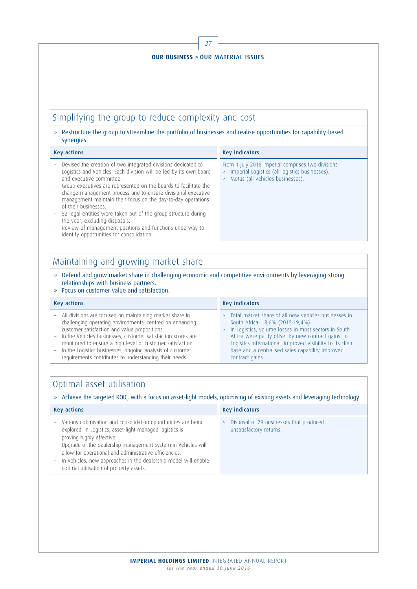

## Maintaining and growing market share

- » Defend and grow market share in challenging economic and competitive environments by leveraging strong relationships with business partners.
- » Focus on customer value and satisfaction.

| <b>Key actions</b>                                             | <b>Key indicators</b>                                      |
|----------------------------------------------------------------|------------------------------------------------------------|
| - All divisions are focused on maintaining market share in     | > Total market share of all new vehicles businesses in     |
| challenging operating environments, centred on enhancing       | South Africa: 18,6% (2015:19,4%).                          |
| customer satisfaction and value propositions.                  | > In Logistics, volume losses in most sectors in South     |
| - In the Vehicles businesses, customer satisfaction scores are | Africa were partly offset by new contract gains. In        |
| monitored to ensure a high level of customer satisfaction.     | Logistics International, improved visibility to its client |
| - In the Logistics businesses, ongoing analysis of customer    | base and a centralised sales capability improved           |
| requirements contributes to understanding their needs.         | contract gains.                                            |

## Optimal asset utilisation

| Achieve the targeted ROIC, with a focus on asset-light models, optimising of existing assets and leveraging technology.<br>$\mathcal{D}$                                                                                                                                                                                                                                                        |                                                                    |  |
|-------------------------------------------------------------------------------------------------------------------------------------------------------------------------------------------------------------------------------------------------------------------------------------------------------------------------------------------------------------------------------------------------|--------------------------------------------------------------------|--|
| <b>Key actions</b>                                                                                                                                                                                                                                                                                                                                                                              | <b>Key indicators</b>                                              |  |
| Various optimisation and consolidation opportunities are being<br>explored. In Logistics, asset-light managed logistics is<br>proving highly effective.<br>Upgrade of the dealership management system in Vehicles will<br>allow for operational and administrative efficiencies.<br>In Vehicles, new approaches in the dealership model will enable<br>optimal utilisation of property assets. | Disposal of 29 businesses that produced<br>unsatisfactory returns. |  |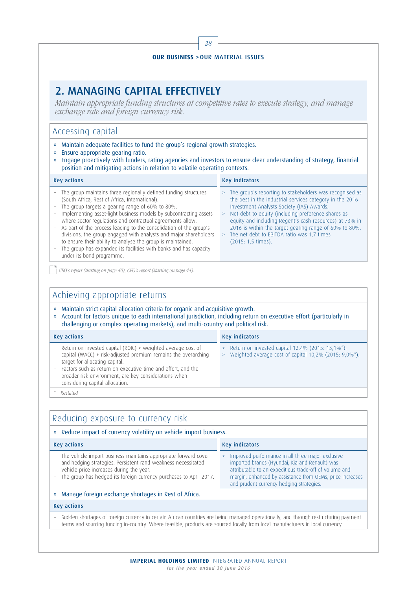| 28<br><b>OUR BUSINESS &gt; OUR MATERIAL ISSUES</b>                                                                                                                          |  |
|-----------------------------------------------------------------------------------------------------------------------------------------------------------------------------|--|
| 2. MANAGING CAPITAL EFFECTIVELY<br>Maintain appropriate funding structures at competitive rates to execute strategy, and manage<br>exchange rate and foreign currency risk. |  |
| Accessing capital                                                                                                                                                           |  |

- » Maintain adequate facilities to fund the group's regional growth strategies.
- » Ensure appropriate gearing ratio.
- » Engage proactively with funders, rating agencies and investors to ensure clear understanding of strategy, financial position and mitigating actions in relation to volatile operating contexts.

#### Key actions **Key indicators** Key indicators

(2015: 1,5 times).

The group's reporting to stakeholders was recognised as the best in the industrial services category in the 2016

Investment Analysts Society (IAS) Awards. Net debt to equity (including preference shares as equity and including Regent's cash resources) at 73% in 2016 is within the target gearing range of 60% to 80%.

The net debt to EBITDA ratio was 1.7 times

> Return on invested capital 12,4% (2015: 13,1%\*). > Weighted average cost of capital 10,2% (2015: 9,0%\*).

- The group maintains three regionally defined funding structures (South Africa, Rest of Africa, International).
- The group targets a gearing range of 60% to 80%.
- − Implementing asset-light business models by subcontracting assets where sector regulations and contractual agreements allow.
- As part of the process leading to the consolidation of the group's divisions, the group engaged with analysts and major shareholders to ensure their ability to analyse the group is maintained.
- − The group has expanded its facilities with banks and has capacity under its bond programme.

CEO's report (starting on page 40), CFO's report (starting on page 44).

## Achieving appropriate returns

- » Maintain strict capital allocation criteria for organic and acquisitive growth.
- » Account for factors unique to each international jurisdiction, including return on executive effort (particularly in challenging or complex operating markets), and multi-country and political risk.

### Key actions **Key indicators** Key indicators

- Return on invested capital (ROIC) > weighted average cost of capital (WACC) + risk-adjusted premium remains the overarching target for allocating capital.
- Factors such as return on executive time and effort, and the broader risk environment, are key considerations when considering capital allocation.

**Restated** 

## Reducing exposure to currency risk

| » Reduce impact of currency volatility on vehicle import business.                                                                                                                                                                                 |                                                                                                                                                                                                                                                                        |  |
|----------------------------------------------------------------------------------------------------------------------------------------------------------------------------------------------------------------------------------------------------|------------------------------------------------------------------------------------------------------------------------------------------------------------------------------------------------------------------------------------------------------------------------|--|
| <b>Key actions</b>                                                                                                                                                                                                                                 | <b>Key indicators</b>                                                                                                                                                                                                                                                  |  |
| The vehicle import business maintains appropriate forward cover<br>and hedging strategies. Persistent rand weakness necessitated<br>vehicle price increases during the year.<br>The group has hedged its foreign currency purchases to April 2017. | Improved performance in all three major exclusive<br>imported brands (Hyundai, Kia and Renault) was<br>attributable to an expeditious trade-off of volume and<br>margin, enhanced by assistance from OEMs, price increases<br>and prudent currency hedging strategies. |  |
| Manage foreign exchange shortages in Rest of Africa.<br>$\mathcal{V}$                                                                                                                                                                              |                                                                                                                                                                                                                                                                        |  |

### Key actions

− Sudden shortages of foreign currency in certain African countries are being managed operationally, and through restructuring payment terms and sourcing funding in-country. Where feasible, products are sourced locally from local manufacturers in local currency.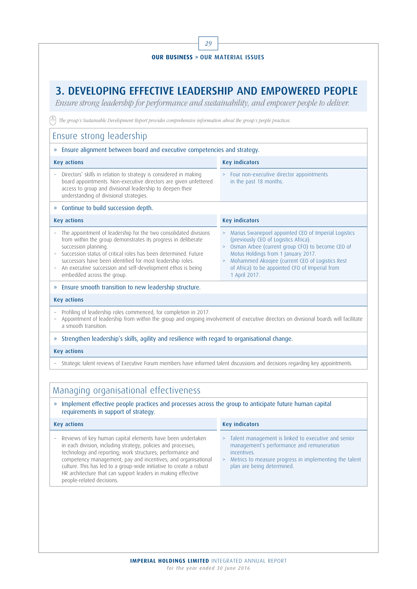| 29<br><b>OUR BUSINESS &gt; OUR MATERIAL ISSUES</b>                                                                                                                                                                                                                                                                                                                                                                             |                                                                                                                                                                                                                                                                                                                       |
|--------------------------------------------------------------------------------------------------------------------------------------------------------------------------------------------------------------------------------------------------------------------------------------------------------------------------------------------------------------------------------------------------------------------------------|-----------------------------------------------------------------------------------------------------------------------------------------------------------------------------------------------------------------------------------------------------------------------------------------------------------------------|
|                                                                                                                                                                                                                                                                                                                                                                                                                                |                                                                                                                                                                                                                                                                                                                       |
| 3. DEVELOPING EFFECTIVE LEADERSHIP AND EMPOWERED PEOPLE<br>Ensure strong leadership for performance and sustainability, and empower people to deliver.                                                                                                                                                                                                                                                                         |                                                                                                                                                                                                                                                                                                                       |
| The group's Sustainable Development Report provides comprehensive information about the group's people practices.                                                                                                                                                                                                                                                                                                              |                                                                                                                                                                                                                                                                                                                       |
| Ensure strong leadership                                                                                                                                                                                                                                                                                                                                                                                                       |                                                                                                                                                                                                                                                                                                                       |
| Ensure alignment between board and executive competencies and strategy.<br>$\rangle$                                                                                                                                                                                                                                                                                                                                           |                                                                                                                                                                                                                                                                                                                       |
| <b>Key actions</b>                                                                                                                                                                                                                                                                                                                                                                                                             | <b>Key indicators</b>                                                                                                                                                                                                                                                                                                 |
| Directors' skills in relation to strategy is considered in making<br>board appointments. Non-executive directors are given unfettered<br>access to group and divisional leadership to deepen their<br>understanding of divisional strategies.                                                                                                                                                                                  | > Four non-executive director appointments<br>in the past 18 months.                                                                                                                                                                                                                                                  |
| Continue to build succession depth.<br>$\rangle$                                                                                                                                                                                                                                                                                                                                                                               |                                                                                                                                                                                                                                                                                                                       |
| <b>Key actions</b>                                                                                                                                                                                                                                                                                                                                                                                                             | <b>Key indicators</b>                                                                                                                                                                                                                                                                                                 |
| The appointment of leadership for the two consolidated divisions<br>from within the group demonstrates its progress in deliberate<br>succession planning.<br>Succession status of critical roles has been determined. Future<br>successors have been identified for most leadership roles.<br>An executive succession and self-development ethos is being<br>embedded across the group.                                        | > Marius Swanepoel appointed CEO of Imperial Logistics<br>(previously CEO of Logistics Africa).<br>> Osman Arbee (current group CFO) to become CEO of<br>Motus Holdings from 1 January 2017.<br>> Mohammed Akoojee (current CEO of Logistics Rest<br>of Africa) to be appointed CFO of Imperial from<br>1 April 2017. |
| Ensure smooth transition to new leadership structure.<br>$\rangle$                                                                                                                                                                                                                                                                                                                                                             |                                                                                                                                                                                                                                                                                                                       |
| <b>Key actions</b>                                                                                                                                                                                                                                                                                                                                                                                                             |                                                                                                                                                                                                                                                                                                                       |
| Profiling of leadership roles commenced, for completion in 2017.<br>Appointment of leadership from within the group and ongoing involvement of executive directors on divisional boards will facilitate<br>$\overline{\phantom{a}}$<br>a smooth transition.                                                                                                                                                                    |                                                                                                                                                                                                                                                                                                                       |
| Strengthen leadership's skills, agility and resilience with regard to organisational change.<br>$\rangle$                                                                                                                                                                                                                                                                                                                      |                                                                                                                                                                                                                                                                                                                       |
| <b>Key actions</b>                                                                                                                                                                                                                                                                                                                                                                                                             |                                                                                                                                                                                                                                                                                                                       |
| Strategic talent reviews of Executive Forum members have informed talent discussions and decisions regarding key appointments.                                                                                                                                                                                                                                                                                                 |                                                                                                                                                                                                                                                                                                                       |
| Managing organisational effectiveness                                                                                                                                                                                                                                                                                                                                                                                          |                                                                                                                                                                                                                                                                                                                       |
| Implement effective people practices and processes across the group to anticipate future human capital<br>$\rangle$<br>requirements in support of strategy.                                                                                                                                                                                                                                                                    |                                                                                                                                                                                                                                                                                                                       |
| <b>Key actions</b>                                                                                                                                                                                                                                                                                                                                                                                                             | <b>Key indicators</b>                                                                                                                                                                                                                                                                                                 |
| Reviews of key human capital elements have been undertaken<br>in each division, including strategy, policies and processes;<br>technology and reporting; work structures; performance and<br>competency management; pay and incentives; and organisational<br>culture. This has led to a group-wide initiative to create a robust<br>HR architecture that can support leaders in making effective<br>people-related decisions. | > Talent management is linked to executive and senior<br>management's performance and remuneration<br>incentives.<br>> Metrics to measure progress in implementing the talent<br>plan are being determined.                                                                                                           |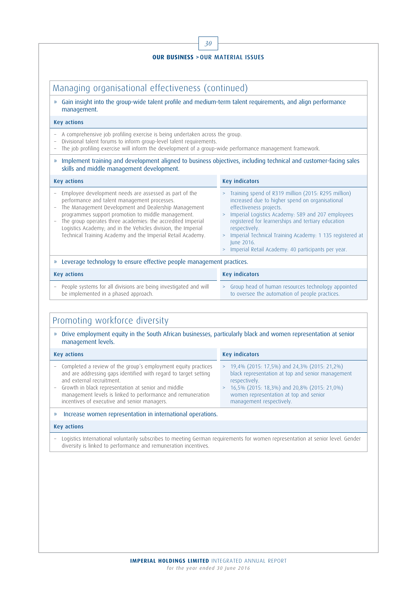| 30<br><b>OUR BUSINESS &gt; OUR MATERIAL ISSUES</b>                                                                                                                                                                                                                                                                                                                                                                    |                                                                                                                                                                                                                                                                                                                                                                                                     |
|-----------------------------------------------------------------------------------------------------------------------------------------------------------------------------------------------------------------------------------------------------------------------------------------------------------------------------------------------------------------------------------------------------------------------|-----------------------------------------------------------------------------------------------------------------------------------------------------------------------------------------------------------------------------------------------------------------------------------------------------------------------------------------------------------------------------------------------------|
|                                                                                                                                                                                                                                                                                                                                                                                                                       |                                                                                                                                                                                                                                                                                                                                                                                                     |
| Managing organisational effectiveness (continued)                                                                                                                                                                                                                                                                                                                                                                     |                                                                                                                                                                                                                                                                                                                                                                                                     |
| Gain insight into the group-wide talent profile and medium-term talent requirements, and align performance<br>$\mathcal{V}$<br>management.                                                                                                                                                                                                                                                                            |                                                                                                                                                                                                                                                                                                                                                                                                     |
| <b>Key actions</b>                                                                                                                                                                                                                                                                                                                                                                                                    |                                                                                                                                                                                                                                                                                                                                                                                                     |
| - A comprehensive job profiling exercise is being undertaken across the group.<br>Divisional talent forums to inform group-level talent requirements.<br>The job profiling exercise will inform the development of a group-wide performance management framework.                                                                                                                                                     |                                                                                                                                                                                                                                                                                                                                                                                                     |
| » Implement training and development aligned to business objectives, including technical and customer-facing sales<br>skills and middle management development.                                                                                                                                                                                                                                                       |                                                                                                                                                                                                                                                                                                                                                                                                     |
| <b>Key actions</b>                                                                                                                                                                                                                                                                                                                                                                                                    | <b>Key indicators</b>                                                                                                                                                                                                                                                                                                                                                                               |
| - Employee development needs are assessed as part of the<br>performance and talent management processes.<br>The Management Development and Dealership Management<br>programmes support promotion to middle management.<br>The group operates three academies: the accredited Imperial<br>Logistics Academy; and in the Vehicles division, the Imperial<br>Technical Training Academy and the Imperial Retail Academy. | > Training spend of R319 million (2015: R295 million)<br>increased due to higher spend on organisational<br>effectiveness projects.<br>> Imperial Logistics Academy: 589 and 207 employees<br>registered for learnerships and tertiary education<br>respectively.<br>Imperial Technical Training Academy: 1 135 registered at<br>June 2016.<br>> Imperial Retail Academy: 40 participants per year. |
| Leverage technology to ensure effective people management practices.                                                                                                                                                                                                                                                                                                                                                  |                                                                                                                                                                                                                                                                                                                                                                                                     |
| <b>Key actions</b>                                                                                                                                                                                                                                                                                                                                                                                                    | <b>Key indicators</b>                                                                                                                                                                                                                                                                                                                                                                               |
|                                                                                                                                                                                                                                                                                                                                                                                                                       | > Group head of human resources technology appointed                                                                                                                                                                                                                                                                                                                                                |

» Drive employment equity in the South African businesses, particularly black and women representation at senior management levels.

| <b>Key actions</b>                                                                                                                                                                                                                                                                                                                     | <b>Key indicators</b>                                                                                                                                                                                                                      |
|----------------------------------------------------------------------------------------------------------------------------------------------------------------------------------------------------------------------------------------------------------------------------------------------------------------------------------------|--------------------------------------------------------------------------------------------------------------------------------------------------------------------------------------------------------------------------------------------|
| - Completed a review of the group's employment equity practices<br>and are addressing gaps identified with regard to target setting<br>and external recruitment.<br>Growth in black representation at senior and middle<br>management levels is linked to performance and remuneration<br>incentives of executive and senior managers. | $>$ 19,4% (2015: 17,5%) and 24,3% (2015: 21,2%)<br>black representation at top and senior management<br>respectively.<br>16,5% (2015: 18,3%) and 20,8% (2015: 21,0%)<br>women representation at top and senior<br>management respectively. |
|                                                                                                                                                                                                                                                                                                                                        |                                                                                                                                                                                                                                            |

## » Increase women representation in international operations.

## Key actions

− Logistics International voluntarily subscribes to meeting German requirements for women representation at senior level. Gender diversity is linked to performance and remuneration incentives.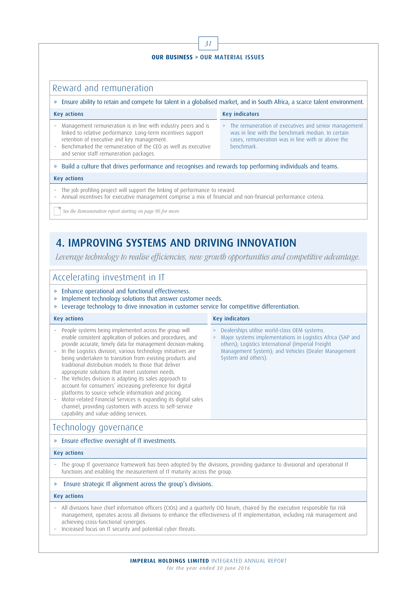| 31<br><b>OUR BUSINESS &gt; OUR MATERIAL ISSUES</b>                                                                                                                                                                                                                                                                 |                                                                                                                                                                                |  |
|--------------------------------------------------------------------------------------------------------------------------------------------------------------------------------------------------------------------------------------------------------------------------------------------------------------------|--------------------------------------------------------------------------------------------------------------------------------------------------------------------------------|--|
| Reward and remuneration                                                                                                                                                                                                                                                                                            |                                                                                                                                                                                |  |
| Ensure ability to retain and compete for talent in a globalised market, and in South Africa, a scarce talent environment.<br>$\rangle$                                                                                                                                                                             |                                                                                                                                                                                |  |
| <b>Key actions</b>                                                                                                                                                                                                                                                                                                 | <b>Key indicators</b>                                                                                                                                                          |  |
| Management remuneration is in line with industry peers and is<br>$\overline{\phantom{a}}$<br>linked to relative performance. Long-term incentives support<br>retention of executive and key management.<br>Benchmarked the remuneration of the CEO as well as executive<br>and senior staff remuneration packages. | > The remuneration of executives and senior management<br>was in line with the benchmark median. In certain<br>cases, remuneration was in line with or above the<br>benchmark. |  |
| Build a culture that drives performance and recognises and rewards top performing individuals and teams.<br>$\rightarrow$                                                                                                                                                                                          |                                                                                                                                                                                |  |
| <b>Key actions</b>                                                                                                                                                                                                                                                                                                 |                                                                                                                                                                                |  |
| The job profiling project will support the linking of performance to reward.<br>$\overline{\phantom{a}}$<br>Annual incentives for executive management comprise a mix of financial and non-financial performance criteria.<br>$\overline{\phantom{a}}$                                                             |                                                                                                                                                                                |  |
| See the Remuneration report starting on page 86 for more.                                                                                                                                                                                                                                                          |                                                                                                                                                                                |  |

# 4. IMPROVING SYSTEMS AND DRIVING INNOVATION

Leverage technology to realise efficiencies, new growth opportunities and competitive advantage.

## Accelerating investment in IT

- » Enhance operational and functional effectiveness.
- » Implement technology solutions that answer customer needs.
- » Leverage technology to drive innovation in customer service for competitive differentiation.

| <b>Key actions</b> |  |
|--------------------|--|
|                    |  |

| <b>Key actions</b>                                                                                                                                                                                                                                                                                                                                                                                                                                                                                                                                                                                                                                                                                                                                                                        | <b>Key indicators</b>                                                                                                                                                                                                                               |
|-------------------------------------------------------------------------------------------------------------------------------------------------------------------------------------------------------------------------------------------------------------------------------------------------------------------------------------------------------------------------------------------------------------------------------------------------------------------------------------------------------------------------------------------------------------------------------------------------------------------------------------------------------------------------------------------------------------------------------------------------------------------------------------------|-----------------------------------------------------------------------------------------------------------------------------------------------------------------------------------------------------------------------------------------------------|
| People systems being implemented across the group will<br>enable consistent application of policies and procedures, and<br>provide accurate, timely data for management decision-making.<br>In the Logistics division, various technology initiatives are<br>being undertaken to transition from existing products and<br>traditional distribution models to those that deliver<br>appropriate solutions that meet customer needs.<br>The Vehicles division is adapting its sales approach to<br>account for consumers' increasing preference for digital<br>platforms to source vehicle information and pricing.<br>Motor-related Financial Services is expanding its digital sales<br>channel, providing customers with access to self-service<br>capability and value-adding services. | Dealerships utilise world-class OEM systems.<br>><br>Major systems implementations in Logistics Africa (SAP and<br>others); Logistics International (Imperial Freight<br>Management System); and Vehicles (Dealer Management<br>System and others). |
| Technology governance                                                                                                                                                                                                                                                                                                                                                                                                                                                                                                                                                                                                                                                                                                                                                                     |                                                                                                                                                                                                                                                     |
| » Ensure effective oversight of IT investments.                                                                                                                                                                                                                                                                                                                                                                                                                                                                                                                                                                                                                                                                                                                                           |                                                                                                                                                                                                                                                     |
| <b>Key actions</b>                                                                                                                                                                                                                                                                                                                                                                                                                                                                                                                                                                                                                                                                                                                                                                        |                                                                                                                                                                                                                                                     |

− The group IT governance framework has been adopted by the divisions, providing guidance to divisional and operational IT functions and enabling the measurement of IT maturity across the group.

### » Ensure strategic IT alignment across the group's divisions.

### Key actions

- − All divisions have chief information officers (CIOs) and a quarterly CIO forum, chaired by the executive responsible for risk management, operates across all divisions to enhance the effectiveness of IT implementation, including risk management and achieving cross-functional synergies.
- − Increased focus on IT security and potential cyber threats.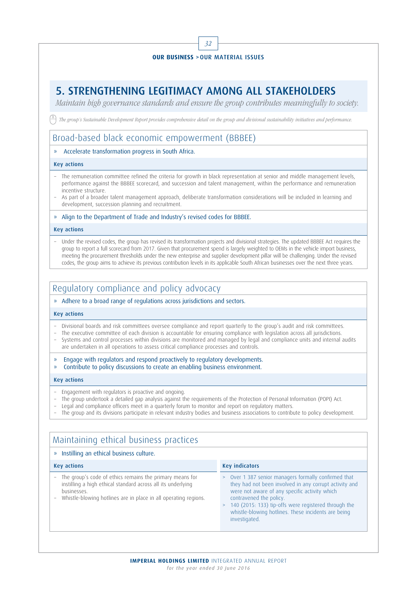

32

# 5. STRENGTHENING LEGITIMACY AMONG ALL STAKEHOLDERS

Maintain high governance standards and ensure the group contributes meaningfully to society.

 $\left( \frac{\delta}{\epsilon} \right)$  The group's Sustainable Development Report provides comprehensive detail on the group and divisional sustainability initiatives and performance.

## Broad-based black economic empowerment (BBBEE)

## » Accelerate transformation progress in South Africa.

## Key actions

- − The remuneration committee refined the criteria for growth in black representation at senior and middle management levels, performance against the BBBEE scorecard, and succession and talent management, within the performance and remuneration incentive structure.
- − As part of a broader talent management approach, deliberate transformation considerations will be included in learning and development, succession planning and recruitment.

### » Align to the Department of Trade and Industry's revised codes for BBBEE.

### Key actions

− Under the revised codes, the group has revised its transformation projects and divisional strategies. The updated BBBEE Act requires the group to report a full scorecard from 2017. Given that procurement spend is largely weighted to OEMs in the vehicle import business, meeting the procurement thresholds under the new enterprise and supplier development pillar will be challenging. Under the revised codes, the group aims to achieve its previous contribution levels in its applicable South African businesses over the next three years.

## Regulatory compliance and policy advocacy

## » Adhere to a broad range of regulations across jurisdictions and sectors.

### Key actions

- − Divisional boards and risk committees oversee compliance and report quarterly to the group's audit and risk committees.
- − The executive committee of each division is accountable for ensuring compliance with legislation across all jurisdictions.
- − Systems and control processes within divisions are monitored and managed by legal and compliance units and internal audits are undertaken in all operations to assess critical compliance processes and controls.
- » Engage with regulators and respond proactively to regulatory developments.
- » Contribute to policy discussions to create an enabling business environment.

## Key actions

- − Engagement with regulators is proactive and ongoing.
- − The group undertook a detailed gap analysis against the requirements of the Protection of Personal Information (POPI) Act.
- Legal and compliance officers meet in a quarterly forum to monitor and report on regulatory matters.
- The group and its divisions participate in relevant industry bodies and business associations to contribute to policy development.

## Maintaining ethical business practices

| » Instilling an ethical business culture.                                                                                                                                                                                                   |                                                                                                                                                                                                                                                                                                                              |
|---------------------------------------------------------------------------------------------------------------------------------------------------------------------------------------------------------------------------------------------|------------------------------------------------------------------------------------------------------------------------------------------------------------------------------------------------------------------------------------------------------------------------------------------------------------------------------|
| <b>Key actions</b>                                                                                                                                                                                                                          | <b>Key indicators</b>                                                                                                                                                                                                                                                                                                        |
| The group's code of ethics remains the primary means for<br>-<br>instilling a high ethical standard across all its underlying<br>businesses.<br>Whistle-blowing hotlines are in place in all operating regions.<br>$\overline{\phantom{0}}$ | > Over 1 387 senior managers formally confirmed that<br>they had not been involved in any corrupt activity and<br>were not aware of any specific activity which<br>contravened the policy.<br>> 140 (2015: 133) tip-offs were registered through the<br>whistle-blowing hotlines. These incidents are being<br>investigated. |